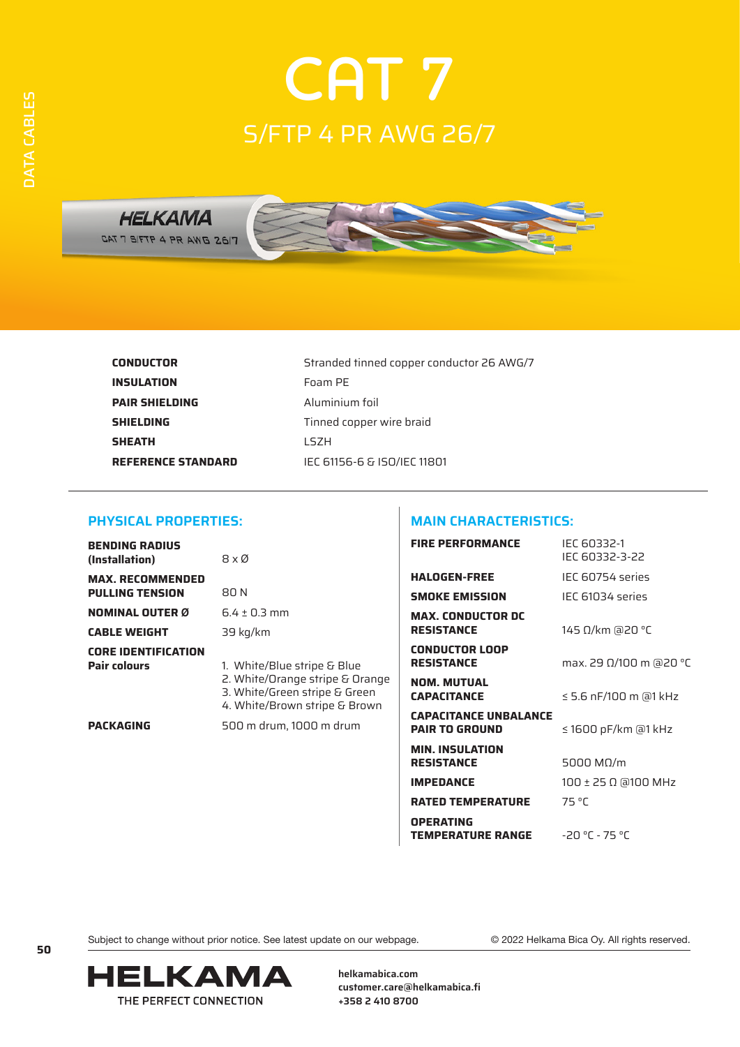

**INSULATION** Foam PE **PAIR SHIELDING** Aluminium foil **SHIELDING** Tinned copper wire braid **SHEATH** LSZH

**CONDUCTOR** Stranded tinned copper conductor 26 AWG/7 **REFERENCE STANDARD** IEC 61156-6 & ISO/IEC 11801

### **PHYSICAL PROPERTIES:**

| <b>BENDING RADIUS</b><br>(Installation)           | 8 x Ø                                                                                                                            |
|---------------------------------------------------|----------------------------------------------------------------------------------------------------------------------------------|
| <b>MAX. RECOMMENDED</b><br><b>PULLING TENSION</b> | 80 N                                                                                                                             |
| <b>NOMINAL OUTER Ø</b>                            | $6.4 + 0.3$ mm                                                                                                                   |
| <b>CABLE WEIGHT</b>                               | 39 kg/km                                                                                                                         |
| <b>CORE IDENTIFICATION</b><br>Pair colours        | 1. White/Blue stripe & Blue<br>2. White/Orange stripe & Orange<br>3. White/Green stripe & Green<br>4. White/Brown stripe & Brown |
| <b>PACKAGING</b>                                  | 500 m drum. 1000 m drum                                                                                                          |

# **MAIN CHARACTERISTICS:**

| Blue<br>e & Orange<br>& Green<br>& Brown<br>drum | <b>FIRE PERFORMANCE</b>                               | IEC 60332-1<br>IEC 60332-3-22 |
|--------------------------------------------------|-------------------------------------------------------|-------------------------------|
|                                                  | <b>HALOGEN-FREE</b>                                   | IEC 60754 series              |
|                                                  | <b>SMOKE EMISSION</b>                                 | IEC 61034 series              |
|                                                  | <b>MAX. CONDUCTOR DC</b><br><b>RESISTANCE</b>         | 145 Ω/km @20 °C               |
|                                                  | <b>CONDUCTOR LOOP</b><br><b>RESISTANCE</b>            | max. 29 Ω/100 m @20 °C        |
|                                                  | <b>NOM. MUTUAL</b><br><b>CAPACITANCE</b>              | $\leq$ 5.6 nF/100 m @1 kHz    |
|                                                  | <b>CAPACITANCE UNBALANCE</b><br><b>PAIR TO GROUND</b> | ≤ 1600 pF/km @1 kHz           |
|                                                  | <b>MIN. INSULATION</b><br><b>RESISTANCE</b>           | 5000 MΩ/m                     |
|                                                  | <b>IMPEDANCE</b>                                      | 100 ± 25 Ω @100 MHz           |
|                                                  | <b>RATED TEMPERATURE</b>                              | 75 °C                         |
|                                                  | <b>OPERATING</b><br><b>TEMPERATURE RANGE</b>          | $-20 °C - 75 °C$              |

Subject to change without prior notice. See latest update on our webpage. © 2022 Helkama Bica Oy. All rights reserved.



**helkamabica.com customer.care@helkamabica.fi +358 2 410 8700**